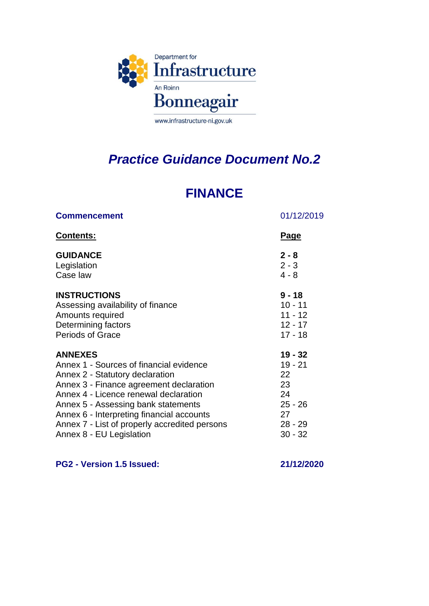

## *Practice Guidance Document No.2*

## **FINANCE**

| <b>Commencement</b>                           | 01/12/2019  |
|-----------------------------------------------|-------------|
| <u>Contents:</u>                              | <u>Page</u> |
| <b>GUIDANCE</b>                               | $2 - 8$     |
| Legislation                                   | $2 - 3$     |
| Case law                                      | $4 - 8$     |
| <b>INSTRUCTIONS</b>                           | $9 - 18$    |
| Assessing availability of finance             | $10 - 11$   |
| Amounts required                              | $11 - 12$   |
| Determining factors                           | $12 - 17$   |
| <b>Periods of Grace</b>                       | $17 - 18$   |
| <b>ANNEXES</b>                                | $19 - 32$   |
| Annex 1 - Sources of financial evidence       | $19 - 21$   |
| Annex 2 - Statutory declaration               | 22          |
| Annex 3 - Finance agreement declaration       | 23          |
| Annex 4 - Licence renewal declaration         | 24          |
| Annex 5 - Assessing bank statements           | $25 - 26$   |
| Annex 6 - Interpreting financial accounts     | 27          |
| Annex 7 - List of properly accredited persons | $28 - 29$   |
| Annex 8 - EU Legislation                      | $30 - 32$   |

**PG2 - Version 1.5 Issued: 21/12/2020**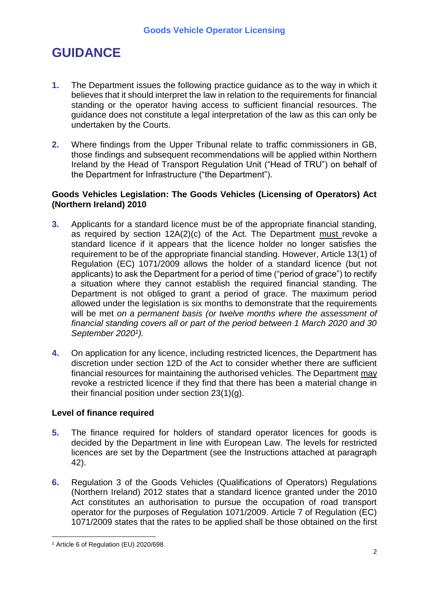## **GUIDANCE**

- **1.** The Department issues the following practice guidance as to the way in which it believes that it should interpret the law in relation to the requirements for financial standing or the operator having access to sufficient financial resources. The guidance does not constitute a legal interpretation of the law as this can only be undertaken by the Courts.
- **2.** Where findings from the Upper Tribunal relate to traffic commissioners in GB, those findings and subsequent recommendations will be applied within Northern Ireland by the Head of Transport Regulation Unit ("Head of TRU") on behalf of the Department for Infrastructure ("the Department").

## **Goods Vehicles Legislation: The Goods Vehicles (Licensing of Operators) Act (Northern Ireland) 2010**

- **3.** Applicants for a standard licence must be of the appropriate financial standing, as required by section 12A(2)(c) of the Act. The Department must revoke a standard licence if it appears that the licence holder no longer satisfies the requirement to be of the appropriate financial standing. However, Article 13(1) of Regulation (EC) 1071/2009 allows the holder of a standard licence (but not applicants) to ask the Department for a period of time ("period of grace") to rectify a situation where they cannot establish the required financial standing. The Department is not obliged to grant a period of grace. The maximum period allowed under the legislation is six months to demonstrate that the requirements will be met *on a permanent basis (or twelve months where the assessment of financial standing covers all or part of the period between 1 March 2020 and 30 September 2020<sup>1</sup> ).*
- **4.** On application for any licence, including restricted licences, the Department has discretion under section 12D of the Act to consider whether there are sufficient financial resources for maintaining the authorised vehicles. The Department may revoke a restricted licence if they find that there has been a material change in their financial position under section 23(1)(g).

## **Level of finance required**

- **5.** The finance required for holders of standard operator licences for goods is decided by the Department in line with European Law. The levels for restricted licences are set by the Department (see the Instructions attached at paragraph 42).
- **6.** Regulation 3 of the Goods Vehicles (Qualifications of Operators) Regulations (Northern Ireland) 2012 states that a standard licence granted under the 2010 Act constitutes an authorisation to pursue the occupation of road transport operator for the purposes of Regulation 1071/2009. Article 7 of Regulation (EC) 1071/2009 states that the rates to be applied shall be those obtained on the first

<sup>&</sup>lt;u>.</u> <sup>1</sup> Article 6 of Regulation (EU) 2020/698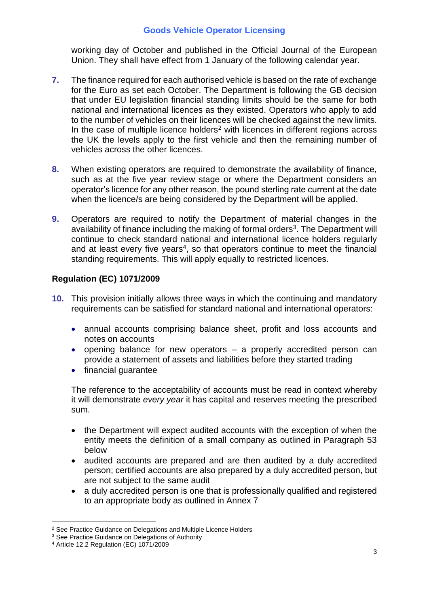working day of October and published in the Official Journal of the European Union. They shall have effect from 1 January of the following calendar year.

- **7.** The finance required for each authorised vehicle is based on the rate of exchange for the Euro as set each October. The Department is following the GB decision that under EU legislation financial standing limits should be the same for both national and international licences as they existed. Operators who apply to add to the number of vehicles on their licences will be checked against the new limits. In the case of multiple licence holders<sup>2</sup> with licences in different regions across the UK the levels apply to the first vehicle and then the remaining number of vehicles across the other licences.
- **8.** When existing operators are required to demonstrate the availability of finance, such as at the five year review stage or where the Department considers an operator's licence for any other reason, the pound sterling rate current at the date when the licence/s are being considered by the Department will be applied.
- **9.** Operators are required to notify the Department of material changes in the availability of finance including the making of formal orders<sup>3</sup>. The Department will continue to check standard national and international licence holders regularly and at least every five years<sup>4</sup>, so that operators continue to meet the financial standing requirements. This will apply equally to restricted licences.

## **Regulation (EC) 1071/2009**

- **10.** This provision initially allows three ways in which the continuing and mandatory requirements can be satisfied for standard national and international operators:
	- annual accounts comprising balance sheet, profit and loss accounts and notes on accounts
	- opening balance for new operators a properly accredited person can provide a statement of assets and liabilities before they started trading
	- financial quarantee

The reference to the acceptability of accounts must be read in context whereby it will demonstrate *every year* it has capital and reserves meeting the prescribed sum.

- the Department will expect audited accounts with the exception of when the entity meets the definition of a small company as outlined in Paragraph 53 below
- audited accounts are prepared and are then audited by a duly accredited person; certified accounts are also prepared by a duly accredited person, but are not subject to the same audit
- a duly accredited person is one that is professionally qualified and registered to an appropriate body as outlined in Annex 7

<sup>&</sup>lt;u>.</u> <sup>2</sup> See Practice Guidance on Delegations and Multiple Licence Holders

<sup>&</sup>lt;sup>3</sup> See Practice Guidance on Delegations of Authority

<sup>4</sup> Article 12.2 Regulation (EC) 1071/2009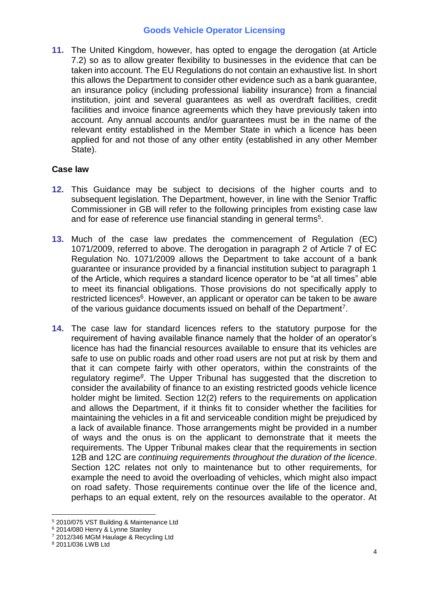**11.** The United Kingdom, however, has opted to engage the derogation (at Article 7.2) so as to allow greater flexibility to businesses in the evidence that can be taken into account. The EU Regulations do not contain an exhaustive list. In short this allows the Department to consider other evidence such as a bank guarantee, an insurance policy (including professional liability insurance) from a financial institution, joint and several guarantees as well as overdraft facilities, credit facilities and invoice finance agreements which they have previously taken into account. Any annual accounts and/or guarantees must be in the name of the relevant entity established in the Member State in which a licence has been applied for and not those of any other entity (established in any other Member State).

## **Case law**

- **12.** This Guidance may be subject to decisions of the higher courts and to subsequent legislation. The Department, however, in line with the Senior Traffic Commissioner in GB will refer to the following principles from existing case law and for ease of reference use financial standing in general terms<sup>5</sup>.
- **13.** Much of the case law predates the commencement of Regulation (EC) 1071/2009, referred to above. The derogation in paragraph 2 of Article 7 of EC Regulation No. 1071/2009 allows the Department to take account of a bank guarantee or insurance provided by a financial institution subject to paragraph 1 of the Article, which requires a standard licence operator to be "at all times" able to meet its financial obligations. Those provisions do not specifically apply to restricted licences<sup>6</sup>. However, an applicant or operator can be taken to be aware of the various guidance documents issued on behalf of the Department<sup>7</sup>.
- **14.** The case law for standard licences refers to the statutory purpose for the requirement of having available finance namely that the holder of an operator's licence has had the financial resources available to ensure that its vehicles are safe to use on public roads and other road users are not put at risk by them and that it can compete fairly with other operators, within the constraints of the regulatory regime*<sup>8</sup>* . The Upper Tribunal has suggested that the discretion to consider the availability of finance to an existing restricted goods vehicle licence holder might be limited. Section 12(2) refers to the requirements on application and allows the Department, if it thinks fit to consider whether the facilities for maintaining the vehicles in a fit and serviceable condition might be prejudiced by a lack of available finance. Those arrangements might be provided in a number of ways and the onus is on the applicant to demonstrate that it meets the requirements. The Upper Tribunal makes clear that the requirements in section 12B and 12C are *continuing requirements throughout the duration of the licence*. Section 12C relates not only to maintenance but to other requirements, for example the need to avoid the overloading of vehicles, which might also impact on road safety. Those requirements continue over the life of the licence and, perhaps to an equal extent, rely on the resources available to the operator. At

1

<sup>5</sup> 2010/075 VST Building & Maintenance Ltd

<sup>6</sup> 2014/080 Henry & Lynne Stanley

<sup>7</sup> 2012/346 MGM Haulage & Recycling Ltd

<sup>8</sup> 2011/036 LWB Ltd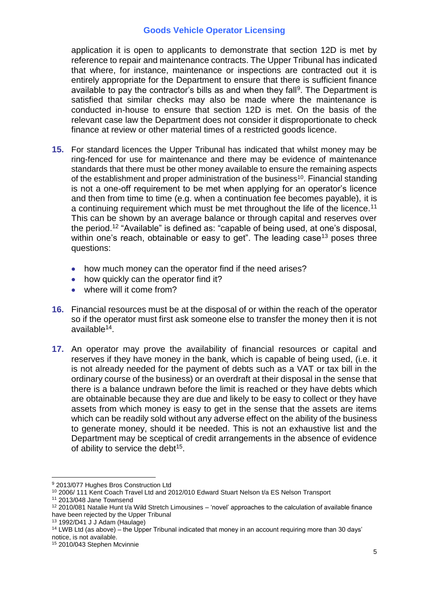application it is open to applicants to demonstrate that section 12D is met by reference to repair and maintenance contracts. The Upper Tribunal has indicated that where, for instance, maintenance or inspections are contracted out it is entirely appropriate for the Department to ensure that there is sufficient finance available to pay the contractor's bills as and when they fall<sup>9</sup>. The Department is satisfied that similar checks may also be made where the maintenance is conducted in-house to ensure that section 12D is met. On the basis of the relevant case law the Department does not consider it disproportionate to check finance at review or other material times of a restricted goods licence.

- **15.** For standard licences the Upper Tribunal has indicated that whilst money may be ring-fenced for use for maintenance and there may be evidence of maintenance standards that there must be other money available to ensure the remaining aspects of the establishment and proper administration of the business<sup>10</sup>. Financial standing is not a one-off requirement to be met when applying for an operator's licence and then from time to time (e.g. when a continuation fee becomes payable), it is a continuing requirement which must be met throughout the life of the licence.<sup>11</sup> This can be shown by an average balance or through capital and reserves over the period.<sup>12</sup> "Available" is defined as: "capable of being used, at one's disposal, within one's reach, obtainable or easy to get". The leading case<sup>13</sup> poses three questions:
	- how much money can the operator find if the need arises?
	- how quickly can the operator find it?
	- where will it come from?
- **16.** Financial resources must be at the disposal of or within the reach of the operator so if the operator must first ask someone else to transfer the money then it is not available<sup>14</sup>.
- **17.** An operator may prove the availability of financial resources or capital and reserves if they have money in the bank, which is capable of being used, (i.e. it is not already needed for the payment of debts such as a VAT or tax bill in the ordinary course of the business) or an overdraft at their disposal in the sense that there is a balance undrawn before the limit is reached or they have debts which are obtainable because they are due and likely to be easy to collect or they have assets from which money is easy to get in the sense that the assets are items which can be readily sold without any adverse effect on the ability of the business to generate money, should it be needed. This is not an exhaustive list and the Department may be sceptical of credit arrangements in the absence of evidence of ability to service the debt<sup>15</sup>.

1

<sup>9</sup> 2013/077 Hughes Bros Construction Ltd

<sup>&</sup>lt;sup>10</sup> 2006/ 111 Kent Coach Travel Ltd and 2012/010 Edward Stuart Nelson t/a ES Nelson Transport

<sup>11</sup> 2013/048 Jane Townsend

 $12$  2010/081 Natalie Hunt t/a Wild Stretch Limousines – 'novel' approaches to the calculation of available finance have been rejected by the Upper Tribunal

<sup>13</sup> 1992/D41 J J Adam (Haulage)

<sup>&</sup>lt;sup>14</sup> LWB Ltd (as above) – the Upper Tribunal indicated that money in an account requiring more than 30 days' notice, is not available.

<sup>15</sup> 2010/043 Stephen Mcvinnie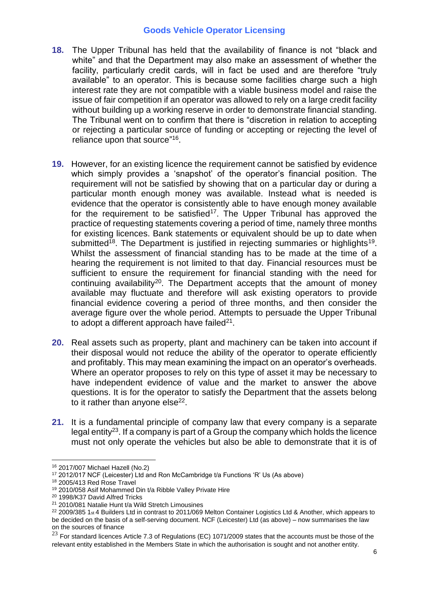- **18.** The Upper Tribunal has held that the availability of finance is not "black and white" and that the Department may also make an assessment of whether the facility, particularly credit cards, will in fact be used and are therefore "truly available" to an operator. This is because some facilities charge such a high interest rate they are not compatible with a viable business model and raise the issue of fair competition if an operator was allowed to rely on a large credit facility without building up a working reserve in order to demonstrate financial standing. The Tribunal went on to confirm that there is "discretion in relation to accepting or rejecting a particular source of funding or accepting or rejecting the level of reliance upon that source"<sup>16</sup>.
- **19.** However, for an existing licence the requirement cannot be satisfied by evidence which simply provides a 'snapshot' of the operator's financial position. The requirement will not be satisfied by showing that on a particular day or during a particular month enough money was available. Instead what is needed is evidence that the operator is consistently able to have enough money available for the requirement to be satisfied<sup>17</sup>. The Upper Tribunal has approved the practice of requesting statements covering a period of time, namely three months for existing licences. Bank statements or equivalent should be up to date when submitted<sup>18</sup>. The Department is justified in rejecting summaries or highlights<sup>19</sup>. Whilst the assessment of financial standing has to be made at the time of a hearing the requirement is not limited to that day. Financial resources must be sufficient to ensure the requirement for financial standing with the need for continuing availability<sup>20</sup>. The Department accepts that the amount of money available may fluctuate and therefore will ask existing operators to provide financial evidence covering a period of three months, and then consider the average figure over the whole period. Attempts to persuade the Upper Tribunal to adopt a different approach have failed $^{21}$ .
- **20.** Real assets such as property, plant and machinery can be taken into account if their disposal would not reduce the ability of the operator to operate efficiently and profitably. This may mean examining the impact on an operator's overheads. Where an operator proposes to rely on this type of asset it may be necessary to have independent evidence of value and the market to answer the above questions. It is for the operator to satisfy the Department that the assets belong to it rather than anyone else<sup>22</sup>.
- **21.** It is a fundamental principle of company law that every company is a separate legal entity<sup>23</sup>. If a company is part of a Group the company which holds the licence must not only operate the vehicles but also be able to demonstrate that it is of

<sup>&</sup>lt;u>.</u> <sup>16</sup> 2017/007 Michael Hazell (No.2)

<sup>17</sup> 2012/017 NCF (Leicester) Ltd and Ron McCambridge t/a Functions 'R' Us (As above)

<sup>18</sup> 2005/413 Red Rose Travel

<sup>19</sup> 2010/058 Asif Mohammed Din t/a Ribble Valley Private Hire

<sup>20</sup> 1998/K37 David Alfred Tricks

<sup>21</sup> 2010/081 Natalie Hunt t/a Wild Stretch Limousines

<sup>22 2009/385 1</sup>st 4 Builders Ltd in contrast to 2011/069 Melton Container Logistics Ltd & Another, which appears to be decided on the basis of a self-serving document. NCF (Leicester) Ltd (as above) – now summarises the law on the sources of finance

 $^{23}$  For standard licences Article 7.3 of Regulations (EC) 1071/2009 states that the accounts must be those of the relevant entity established in the Members State in which the authorisation is sought and not another entity.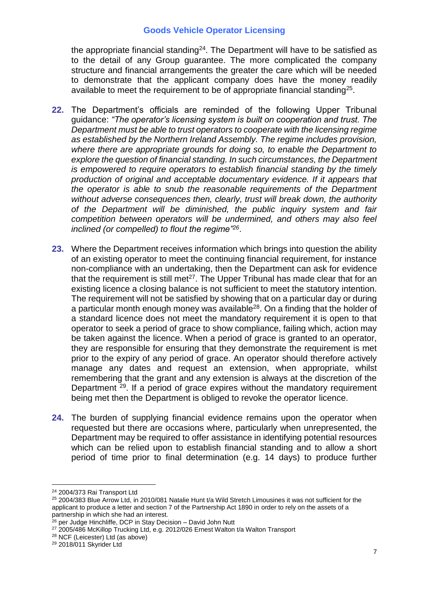the appropriate financial standing<sup>24</sup>. The Department will have to be satisfied as to the detail of any Group guarantee. The more complicated the company structure and financial arrangements the greater the care which will be needed to demonstrate that the applicant company does have the money readily available to meet the requirement to be of appropriate financial standing<sup>25</sup>.

- **22.** The Department's officials are reminded of the following Upper Tribunal guidance: *"The operator's licensing system is built on cooperation and trust. The Department must be able to trust operators to cooperate with the licensing regime as established by the Northern Ireland Assembly. The regime includes provision, where there are appropriate grounds for doing so, to enable the Department to explore the question of financial standing. In such circumstances, the Department is empowered to require operators to establish financial standing by the timely production of original and acceptable documentary evidence. If it appears that the operator is able to snub the reasonable requirements of the Department without adverse consequences then, clearly, trust will break down, the authority of the Department will be diminished, the public inquiry system and fair competition between operators will be undermined, and others may also feel inclined (or compelled) to flout the regime"<sup>26</sup>* .
- **23.** Where the Department receives information which brings into question the ability of an existing operator to meet the continuing financial requirement, for instance non-compliance with an undertaking, then the Department can ask for evidence that the requirement is still met<sup>27</sup>. The Upper Tribunal has made clear that for an existing licence a closing balance is not sufficient to meet the statutory intention. The requirement will not be satisfied by showing that on a particular day or during a particular month enough money was available<sup>28</sup>. On a finding that the holder of a standard licence does not meet the mandatory requirement it is open to that operator to seek a period of grace to show compliance, failing which, action may be taken against the licence. When a period of grace is granted to an operator, they are responsible for ensuring that they demonstrate the requirement is met prior to the expiry of any period of grace. An operator should therefore actively manage any dates and request an extension, when appropriate, whilst remembering that the grant and any extension is always at the discretion of the Department <sup>29</sup>. If a period of grace expires without the mandatory requirement being met then the Department is obliged to revoke the operator licence.
- **24.** The burden of supplying financial evidence remains upon the operator when requested but there are occasions where, particularly when unrepresented, the Department may be required to offer assistance in identifying potential resources which can be relied upon to establish financial standing and to allow a short period of time prior to final determination (e.g. 14 days) to produce further

<u>.</u>

<sup>24</sup> 2004/373 Rai Transport Ltd

<sup>&</sup>lt;sup>25</sup> 2004/383 Blue Arrow Ltd, in 2010/081 Natalie Hunt t/a Wild Stretch Limousines it was not sufficient for the applicant to produce a letter and section 7 of the Partnership Act 1890 in order to rely on the assets of a partnership in which she had an interest.

<sup>&</sup>lt;sup>26</sup> per Judge Hinchliffe, DCP in Stay Decision - David John Nutt

<sup>27</sup> 2005/486 McKillop Trucking Ltd, e.g. 2012/026 Ernest Walton t/a Walton Transport

<sup>28</sup> NCF (Leicester) Ltd (as above)

<sup>29</sup> 2018/011 Skyrider Ltd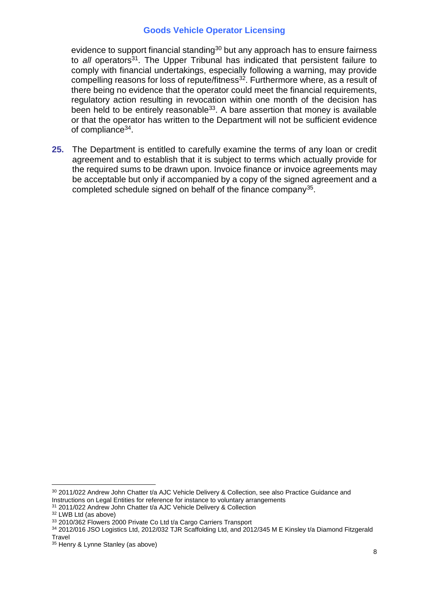evidence to support financial standing<sup>30</sup> but any approach has to ensure fairness to *all* operators<sup>31</sup>. The Upper Tribunal has indicated that persistent failure to comply with financial undertakings, especially following a warning, may provide compelling reasons for loss of repute/fitness<sup>32</sup>. Furthermore where, as a result of there being no evidence that the operator could meet the financial requirements, regulatory action resulting in revocation within one month of the decision has been held to be entirely reasonable<sup>33</sup>. A bare assertion that money is available or that the operator has written to the Department will not be sufficient evidence of compliance<sup>34</sup>.

**25.** The Department is entitled to carefully examine the terms of any loan or credit agreement and to establish that it is subject to terms which actually provide for the required sums to be drawn upon. Invoice finance or invoice agreements may be acceptable but only if accompanied by a copy of the signed agreement and a completed schedule signed on behalf of the finance company<sup>35</sup>.

<sup>&</sup>lt;u>.</u> 30 2011/022 Andrew John Chatter t/a AJC Vehicle Delivery & Collection, see also Practice Guidance and Instructions on Legal Entities for reference for instance to voluntary arrangements

<sup>&</sup>lt;sup>31</sup> 2011/022 Andrew John Chatter t/a AJC Vehicle Delivery & Collection

<sup>32</sup> LWB Ltd (as above)

<sup>33 2010/362</sup> Flowers 2000 Private Co Ltd t/a Cargo Carriers Transport

<sup>34</sup> 2012/016 JSO Logistics Ltd, 2012/032 TJR Scaffolding Ltd, and 2012/345 M E Kinsley t/a Diamond Fitzgerald **Travel** 

<sup>35</sup> Henry & Lynne Stanley (as above)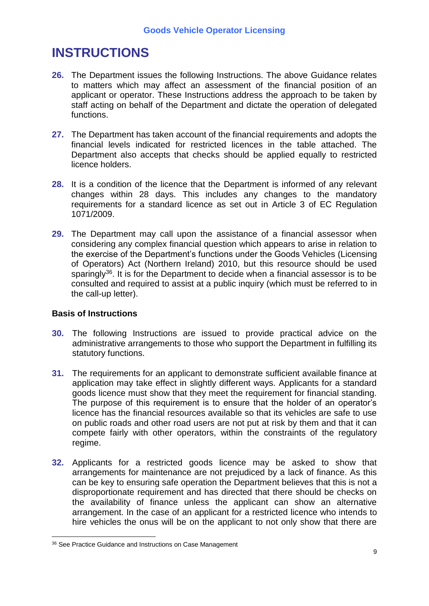## **INSTRUCTIONS**

- **26.** The Department issues the following Instructions. The above Guidance relates to matters which may affect an assessment of the financial position of an applicant or operator. These Instructions address the approach to be taken by staff acting on behalf of the Department and dictate the operation of delegated functions.
- **27.** The Department has taken account of the financial requirements and adopts the financial levels indicated for restricted licences in the table attached. The Department also accepts that checks should be applied equally to restricted licence holders.
- **28.** It is a condition of the licence that the Department is informed of any relevant changes within 28 days. This includes any changes to the mandatory requirements for a standard licence as set out in Article 3 of EC Regulation 1071/2009.
- **29.** The Department may call upon the assistance of a financial assessor when considering any complex financial question which appears to arise in relation to the exercise of the Department's functions under the Goods Vehicles (Licensing of Operators) Act (Northern Ireland) 2010, but this resource should be used sparingly<sup>36</sup>. It is for the Department to decide when a financial assessor is to be consulted and required to assist at a public inquiry (which must be referred to in the call-up letter).

## **Basis of Instructions**

- **30.** The following Instructions are issued to provide practical advice on the administrative arrangements to those who support the Department in fulfilling its statutory functions.
- **31.** The requirements for an applicant to demonstrate sufficient available finance at application may take effect in slightly different ways. Applicants for a standard goods licence must show that they meet the requirement for financial standing. The purpose of this requirement is to ensure that the holder of an operator's licence has the financial resources available so that its vehicles are safe to use on public roads and other road users are not put at risk by them and that it can compete fairly with other operators, within the constraints of the regulatory regime.
- **32.** Applicants for a restricted goods licence may be asked to show that arrangements for maintenance are not prejudiced by a lack of finance. As this can be key to ensuring safe operation the Department believes that this is not a disproportionate requirement and has directed that there should be checks on the availability of finance unless the applicant can show an alternative arrangement. In the case of an applicant for a restricted licence who intends to hire vehicles the onus will be on the applicant to not only show that there are

<sup>&</sup>lt;u>.</u> 36 See Practice Guidance and Instructions on Case Management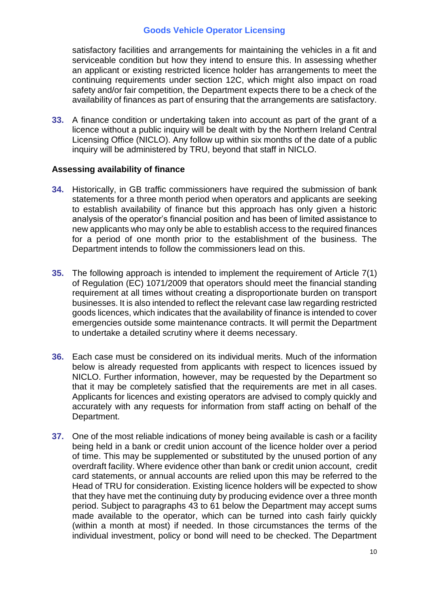satisfactory facilities and arrangements for maintaining the vehicles in a fit and serviceable condition but how they intend to ensure this. In assessing whether an applicant or existing restricted licence holder has arrangements to meet the continuing requirements under section 12C, which might also impact on road safety and/or fair competition, the Department expects there to be a check of the availability of finances as part of ensuring that the arrangements are satisfactory.

**33.** A finance condition or undertaking taken into account as part of the grant of a licence without a public inquiry will be dealt with by the Northern Ireland Central Licensing Office (NICLO). Any follow up within six months of the date of a public inquiry will be administered by TRU, beyond that staff in NICLO.

#### **Assessing availability of finance**

- **34.** Historically, in GB traffic commissioners have required the submission of bank statements for a three month period when operators and applicants are seeking to establish availability of finance but this approach has only given a historic analysis of the operator's financial position and has been of limited assistance to new applicants who may only be able to establish access to the required finances for a period of one month prior to the establishment of the business. The Department intends to follow the commissioners lead on this.
- **35.** The following approach is intended to implement the requirement of Article 7(1) of Regulation (EC) 1071/2009 that operators should meet the financial standing requirement at all times without creating a disproportionate burden on transport businesses. It is also intended to reflect the relevant case law regarding restricted goods licences, which indicates that the availability of finance is intended to cover emergencies outside some maintenance contracts. It will permit the Department to undertake a detailed scrutiny where it deems necessary.
- **36.** Each case must be considered on its individual merits. Much of the information below is already requested from applicants with respect to licences issued by NICLO. Further information, however, may be requested by the Department so that it may be completely satisfied that the requirements are met in all cases. Applicants for licences and existing operators are advised to comply quickly and accurately with any requests for information from staff acting on behalf of the Department.
- **37.** One of the most reliable indications of money being available is cash or a facility being held in a bank or credit union account of the licence holder over a period of time. This may be supplemented or substituted by the unused portion of any overdraft facility. Where evidence other than bank or credit union account, credit card statements, or annual accounts are relied upon this may be referred to the Head of TRU for consideration. Existing licence holders will be expected to show that they have met the continuing duty by producing evidence over a three month period. Subject to paragraphs 43 to 61 below the Department may accept sums made available to the operator, which can be turned into cash fairly quickly (within a month at most) if needed. In those circumstances the terms of the individual investment, policy or bond will need to be checked. The Department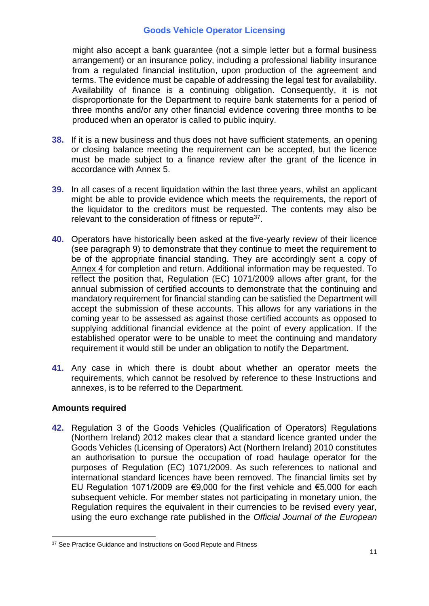might also accept a bank guarantee (not a simple letter but a formal business arrangement) or an insurance policy, including a professional liability insurance from a regulated financial institution, upon production of the agreement and terms. The evidence must be capable of addressing the legal test for availability. Availability of finance is a continuing obligation. Consequently, it is not disproportionate for the Department to require bank statements for a period of three months and/or any other financial evidence covering three months to be produced when an operator is called to public inquiry.

- **38.** If it is a new business and thus does not have sufficient statements, an opening or closing balance meeting the requirement can be accepted, but the licence must be made subject to a finance review after the grant of the licence in accordance with Annex 5.
- **39.** In all cases of a recent liquidation within the last three years, whilst an applicant might be able to provide evidence which meets the requirements, the report of the liquidator to the creditors must be requested. The contents may also be relevant to the consideration of fitness or repute<sup>37</sup>.
- **40.** Operators have historically been asked at the five-yearly review of their licence (see paragraph 9) to demonstrate that they continue to meet the requirement to be of the appropriate financial standing. They are accordingly sent a copy of Annex 4 for completion and return. Additional information may be requested. To reflect the position that, Regulation (EC) 1071/2009 allows after grant, for the annual submission of certified accounts to demonstrate that the continuing and mandatory requirement for financial standing can be satisfied the Department will accept the submission of these accounts. This allows for any variations in the coming year to be assessed as against those certified accounts as opposed to supplying additional financial evidence at the point of every application. If the established operator were to be unable to meet the continuing and mandatory requirement it would still be under an obligation to notify the Department.
- **41.** Any case in which there is doubt about whether an operator meets the requirements, which cannot be resolved by reference to these Instructions and annexes, is to be referred to the Department.

## **Amounts required**

**42.** Regulation 3 of the Goods Vehicles (Qualification of Operators) Regulations (Northern Ireland) 2012 makes clear that a standard licence granted under the Goods Vehicles (Licensing of Operators) Act (Northern Ireland) 2010 constitutes an authorisation to pursue the occupation of road haulage operator for the purposes of Regulation (EC) 1071/2009. As such references to national and international standard licences have been removed. The financial limits set by EU Regulation 1071/2009 are €9,000 for the first vehicle and €5,000 for each subsequent vehicle. For member states not participating in monetary union, the Regulation requires the equivalent in their currencies to be revised every year, using the euro exchange rate published in the *Official Journal of the European* 

<sup>&</sup>lt;u>.</u> <sup>37</sup> See Practice Guidance and Instructions on Good Repute and Fitness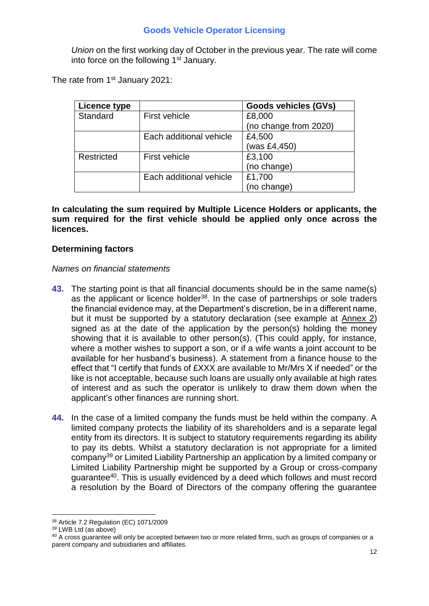*Union* on the first working day of October in the previous year. The rate will come into force on the following 1<sup>st</sup> January.

The rate from 1<sup>st</sup> January 2021:

| Licence type |                         | <b>Goods vehicles (GVs)</b> |
|--------------|-------------------------|-----------------------------|
| Standard     | First vehicle           | £8,000                      |
|              |                         | (no change from 2020)       |
|              | Each additional vehicle | £4,500                      |
|              |                         | (was £4,450)                |
| Restricted   | <b>First vehicle</b>    | £3,100                      |
|              |                         | (no change)                 |
|              | Each additional vehicle | £1,700                      |
|              |                         | (no change)                 |

**In calculating the sum required by Multiple Licence Holders or applicants, the sum required for the first vehicle should be applied only once across the licences.**

#### **Determining factors**

#### *Names on financial statements*

- **43.** The starting point is that all financial documents should be in the same name(s) as the applicant or licence holder<sup>38</sup>. In the case of partnerships or sole traders the financial evidence may, at the Department's discretion, be in a different name, but it must be supported by a statutory declaration (see example at Annex 2) signed as at the date of the application by the person(s) holding the money showing that it is available to other person(s). (This could apply, for instance, where a mother wishes to support a son, or if a wife wants a joint account to be available for her husband's business). A statement from a finance house to the effect that "I certify that funds of £XXX are available to Mr/Mrs X if needed" or the like is not acceptable, because such loans are usually only available at high rates of interest and as such the operator is unlikely to draw them down when the applicant's other finances are running short.
- **44.** In the case of a limited company the funds must be held within the company. A limited company protects the liability of its shareholders and is a separate legal entity from its directors. It is subject to statutory requirements regarding its ability to pay its debts. Whilst a statutory declaration is not appropriate for a limited company<sup>39</sup> or Limited Liability Partnership an application by a limited company or Limited Liability Partnership might be supported by a Group or cross-company guarantee<sup>40</sup>. This is usually evidenced by a deed which follows and must record a resolution by the Board of Directors of the company offering the guarantee

1

<sup>38</sup> Article 7.2 Regulation (EC) 1071/2009

<sup>39</sup> LWB Ltd (as above)

<sup>&</sup>lt;sup>40</sup> A cross guarantee will only be accepted between two or more related firms, such as groups of companies or a parent company and subsidiaries and affiliates.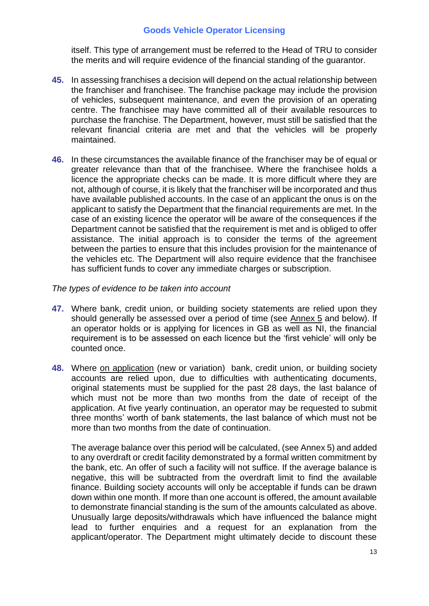itself. This type of arrangement must be referred to the Head of TRU to consider the merits and will require evidence of the financial standing of the guarantor.

- **45.** In assessing franchises a decision will depend on the actual relationship between the franchiser and franchisee. The franchise package may include the provision of vehicles, subsequent maintenance, and even the provision of an operating centre. The franchisee may have committed all of their available resources to purchase the franchise. The Department, however, must still be satisfied that the relevant financial criteria are met and that the vehicles will be properly maintained.
- **46.** In these circumstances the available finance of the franchiser may be of equal or greater relevance than that of the franchisee. Where the franchisee holds a licence the appropriate checks can be made. It is more difficult where they are not, although of course, it is likely that the franchiser will be incorporated and thus have available published accounts. In the case of an applicant the onus is on the applicant to satisfy the Department that the financial requirements are met. In the case of an existing licence the operator will be aware of the consequences if the Department cannot be satisfied that the requirement is met and is obliged to offer assistance. The initial approach is to consider the terms of the agreement between the parties to ensure that this includes provision for the maintenance of the vehicles etc. The Department will also require evidence that the franchisee has sufficient funds to cover any immediate charges or subscription.

#### *The types of evidence to be taken into account*

- **47.** Where bank, credit union, or building society statements are relied upon they should generally be assessed over a period of time (see Annex 5 and below). If an operator holds or is applying for licences in GB as well as NI, the financial requirement is to be assessed on each licence but the 'first vehicle' will only be counted once.
- **48.** Where on application (new or variation) bank, credit union, or building society accounts are relied upon, due to difficulties with authenticating documents, original statements must be supplied for the past 28 days, the last balance of which must not be more than two months from the date of receipt of the application. At five yearly continuation, an operator may be requested to submit three months' worth of bank statements, the last balance of which must not be more than two months from the date of continuation.

The average balance over this period will be calculated, (see Annex 5) and added to any overdraft or credit facility demonstrated by a formal written commitment by the bank, etc. An offer of such a facility will not suffice. If the average balance is negative, this will be subtracted from the overdraft limit to find the available finance. Building society accounts will only be acceptable if funds can be drawn down within one month. If more than one account is offered, the amount available to demonstrate financial standing is the sum of the amounts calculated as above. Unusually large deposits/withdrawals which have influenced the balance might lead to further enquiries and a request for an explanation from the applicant/operator. The Department might ultimately decide to discount these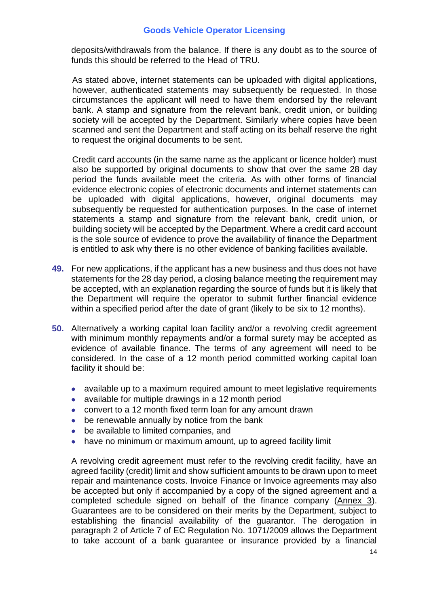deposits/withdrawals from the balance. If there is any doubt as to the source of funds this should be referred to the Head of TRU.

As stated above, internet statements can be uploaded with digital applications, however, authenticated statements may subsequently be requested. In those circumstances the applicant will need to have them endorsed by the relevant bank. A stamp and signature from the relevant bank, credit union, or building society will be accepted by the Department. Similarly where copies have been scanned and sent the Department and staff acting on its behalf reserve the right to request the original documents to be sent.

Credit card accounts (in the same name as the applicant or licence holder) must also be supported by original documents to show that over the same 28 day period the funds available meet the criteria. As with other forms of financial evidence electronic copies of electronic documents and internet statements can be uploaded with digital applications, however, original documents may subsequently be requested for authentication purposes. In the case of internet statements a stamp and signature from the relevant bank, credit union, or building society will be accepted by the Department. Where a credit card account is the sole source of evidence to prove the availability of finance the Department is entitled to ask why there is no other evidence of banking facilities available.

- **49.** For new applications, if the applicant has a new business and thus does not have statements for the 28 day period, a closing balance meeting the requirement may be accepted, with an explanation regarding the source of funds but it is likely that the Department will require the operator to submit further financial evidence within a specified period after the date of grant (likely to be six to 12 months).
- **50.** Alternatively a working capital loan facility and/or a revolving credit agreement with minimum monthly repayments and/or a formal surety may be accepted as evidence of available finance. The terms of any agreement will need to be considered. In the case of a 12 month period committed working capital loan facility it should be:
	- available up to a maximum required amount to meet legislative requirements
	- available for multiple drawings in a 12 month period
	- convert to a 12 month fixed term loan for any amount drawn
	- be renewable annually by notice from the bank
	- be available to limited companies, and
	- have no minimum or maximum amount, up to agreed facility limit

A revolving credit agreement must refer to the revolving credit facility, have an agreed facility (credit) limit and show sufficient amounts to be drawn upon to meet repair and maintenance costs. Invoice Finance or Invoice agreements may also be accepted but only if accompanied by a copy of the signed agreement and a completed schedule signed on behalf of the finance company (Annex 3). Guarantees are to be considered on their merits by the Department, subject to establishing the financial availability of the guarantor. The derogation in paragraph 2 of Article 7 of EC Regulation No. 1071/2009 allows the Department to take account of a bank guarantee or insurance provided by a financial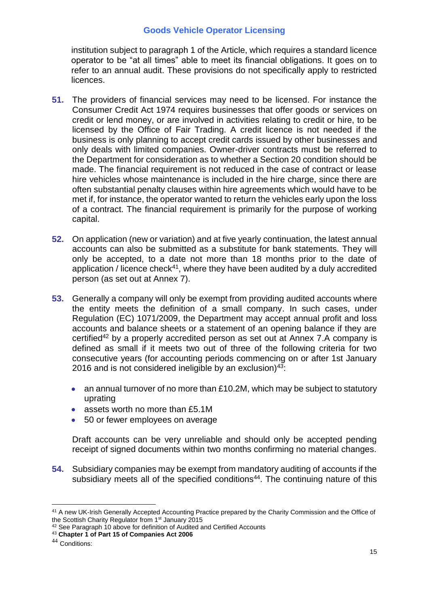institution subject to paragraph 1 of the Article, which requires a standard licence operator to be "at all times" able to meet its financial obligations. It goes on to refer to an annual audit. These provisions do not specifically apply to restricted licences.

- **51.** The providers of financial services may need to be licensed. For instance the Consumer Credit Act 1974 requires businesses that offer goods or services on credit or lend money, or are involved in activities relating to credit or hire, to be licensed by the Office of Fair Trading. A credit licence is not needed if the business is only planning to accept credit cards issued by other businesses and only deals with limited companies. Owner-driver contracts must be referred to the Department for consideration as to whether a Section 20 condition should be made. The financial requirement is not reduced in the case of contract or lease hire vehicles whose maintenance is included in the hire charge, since there are often substantial penalty clauses within hire agreements which would have to be met if, for instance, the operator wanted to return the vehicles early upon the loss of a contract. The financial requirement is primarily for the purpose of working capital.
- **52.** On application (new or variation) and at five yearly continuation, the latest annual accounts can also be submitted as a substitute for bank statements. They will only be accepted, to a date not more than 18 months prior to the date of application / licence check<sup>41</sup>, where they have been audited by a duly accredited person (as set out at Annex 7).
- **53.** Generally a company will only be exempt from providing audited accounts where the entity meets the definition of a small company. In such cases, under Regulation (EC) 1071/2009, the Department may accept annual profit and loss accounts and balance sheets or a statement of an opening balance if they are certified<sup>42</sup> by a properly accredited person as set out at Annex 7.A company is defined as small if it meets two out of three of the following criteria for two consecutive years (for accounting periods commencing on or after 1st January 2016 and is not considered ineligible by an exclusion)<sup>43</sup>:
	- an annual turnover of no more than £10.2M, which may be subject to statutory uprating
	- assets worth no more than £5.1M
	- 50 or fewer employees on average

Draft accounts can be very unreliable and should only be accepted pending receipt of signed documents within two months confirming no material changes.

**54.** Subsidiary companies may be exempt from mandatory auditing of accounts if the subsidiary meets all of the specified conditions<sup>44</sup>. The continuing nature of this

<u>.</u>

<sup>41</sup> A new UK-Irish Generally Accepted Accounting Practice prepared by the Charity Commission and the Office of the Scottish Charity Regulator from 1<sup>st</sup> January 2015

<sup>&</sup>lt;sup>42</sup> See Paragraph 10 above for definition of Audited and Certified Accounts

<sup>43</sup> **Chapter 1 of Part 15 of Companies Act 2006**

<sup>44</sup> Conditions: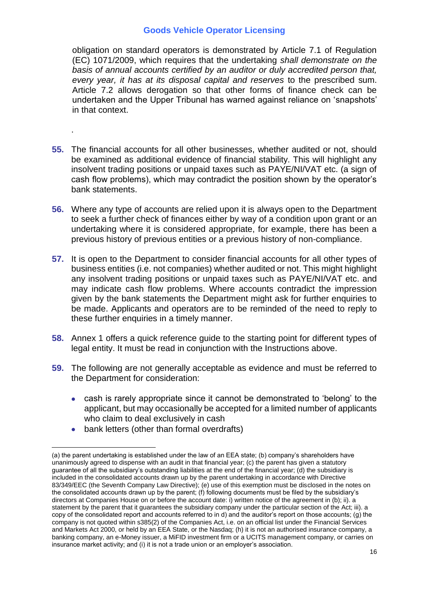obligation on standard operators is demonstrated by Article 7.1 of Regulation (EC) 1071/2009, which requires that the undertaking *shall demonstrate on the basis of annual accounts certified by an auditor or duly accredited person that, every year, it has at its disposal capital and reserves* to the prescribed sum. Article 7.2 allows derogation so that other forms of finance check can be undertaken and the Upper Tribunal has warned against reliance on 'snapshots' in that context.

- **55.** The financial accounts for all other businesses, whether audited or not, should be examined as additional evidence of financial stability. This will highlight any insolvent trading positions or unpaid taxes such as PAYE/NI/VAT etc. (a sign of cash flow problems), which may contradict the position shown by the operator's bank statements.
- **56.** Where any type of accounts are relied upon it is always open to the Department to seek a further check of finances either by way of a condition upon grant or an undertaking where it is considered appropriate, for example, there has been a previous history of previous entities or a previous history of non-compliance.
- **57.** It is open to the Department to consider financial accounts for all other types of business entities (i.e. not companies) whether audited or not. This might highlight any insolvent trading positions or unpaid taxes such as PAYE/NI/VAT etc. and may indicate cash flow problems. Where accounts contradict the impression given by the bank statements the Department might ask for further enquiries to be made. Applicants and operators are to be reminded of the need to reply to these further enquiries in a timely manner.
- **58.** Annex 1 offers a quick reference guide to the starting point for different types of legal entity. It must be read in conjunction with the Instructions above.
- **59.** The following are not generally acceptable as evidence and must be referred to the Department for consideration:
	- cash is rarely appropriate since it cannot be demonstrated to 'belong' to the applicant, but may occasionally be accepted for a limited number of applicants who claim to deal exclusively in cash
	- bank letters (other than formal overdrafts)

.

<u>.</u>

<sup>(</sup>a) the parent undertaking is established under the law of an EEA state; (b) company's shareholders have unanimously agreed to dispense with an audit in that financial year; (c) the parent has given a statutory guarantee of all the subsidiary's outstanding liabilities at the end of the financial year; (d) the subsidiary is included in the consolidated accounts drawn up by the parent undertaking in accordance with Directive 83/349/EEC (the Seventh Company Law Directive); (e) use of this exemption must be disclosed in the notes on the consolidated accounts drawn up by the parent; (f) following documents must be filed by the subsidiary's directors at Companies House on or before the account date: i) written notice of the agreement in (b); ii). a statement by the parent that it guarantees the subsidiary company under the particular section of the Act; iii). a copy of the consolidated report and accounts referred to in d) and the auditor's report on those accounts; (g) the company is not quoted within s385(2) of the Companies Act, i.e. on an official list under the Financial Services and Markets Act 2000, or held by an EEA State, or the Nasdaq; (h) it is not an authorised insurance company, a banking company, an e-Money issuer, a MiFID investment firm or a UCITS management company, or carries on insurance market activity; and (i) it is not a trade union or an employer's association.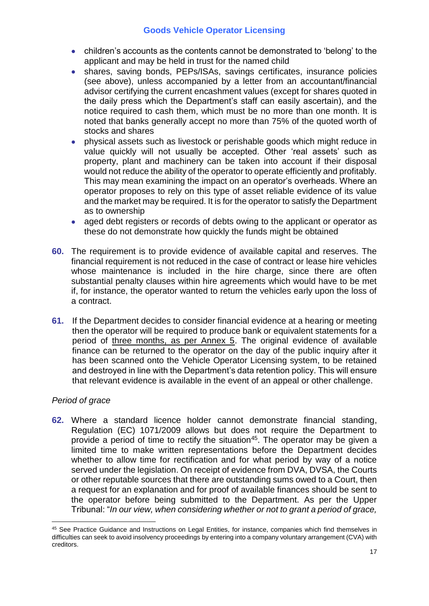- children's accounts as the contents cannot be demonstrated to 'belong' to the applicant and may be held in trust for the named child
- shares, saving bonds, PEPs/ISAs, savings certificates, insurance policies (see above), unless accompanied by a letter from an accountant/financial advisor certifying the current encashment values (except for shares quoted in the daily press which the Department's staff can easily ascertain), and the notice required to cash them, which must be no more than one month. It is noted that banks generally accept no more than 75% of the quoted worth of stocks and shares
- physical assets such as livestock or perishable goods which might reduce in value quickly will not usually be accepted. Other 'real assets' such as property, plant and machinery can be taken into account if their disposal would not reduce the ability of the operator to operate efficiently and profitably. This may mean examining the impact on an operator's overheads. Where an operator proposes to rely on this type of asset reliable evidence of its value and the market may be required. It is for the operator to satisfy the Department as to ownership
- aged debt registers or records of debts owing to the applicant or operator as these do not demonstrate how quickly the funds might be obtained
- **60.** The requirement is to provide evidence of available capital and reserves. The financial requirement is not reduced in the case of contract or lease hire vehicles whose maintenance is included in the hire charge, since there are often substantial penalty clauses within hire agreements which would have to be met if, for instance, the operator wanted to return the vehicles early upon the loss of a contract.
- **61.** If the Department decides to consider financial evidence at a hearing or meeting then the operator will be required to produce bank or equivalent statements for a period of three months, as per Annex 5. The original evidence of available finance can be returned to the operator on the day of the public inquiry after it has been scanned onto the Vehicle Operator Licensing system, to be retained and destroyed in line with the Department's data retention policy. This will ensure that relevant evidence is available in the event of an appeal or other challenge.

## *Period of grace*

<u>.</u>

**62.** Where a standard licence holder cannot demonstrate financial standing, Regulation (EC) 1071/2009 allows but does not require the Department to provide a period of time to rectify the situation<sup>45</sup>. The operator may be given a limited time to make written representations before the Department decides whether to allow time for rectification and for what period by way of a notice served under the legislation. On receipt of evidence from DVA, DVSA, the Courts or other reputable sources that there are outstanding sums owed to a Court, then a request for an explanation and for proof of available finances should be sent to the operator before being submitted to the Department. As per the Upper Tribunal: "*In our view, when considering whether or not to grant a period of grace,* 

<sup>45</sup> See Practice Guidance and Instructions on Legal Entities, for instance, companies which find themselves in difficulties can seek to avoid insolvency proceedings by entering into a company voluntary arrangement (CVA) with creditors.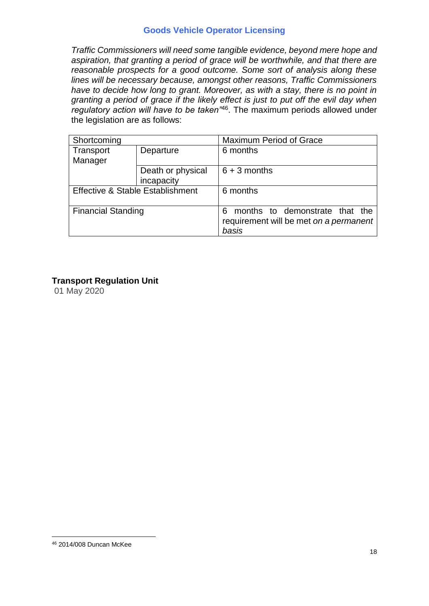*Traffic Commissioners will need some tangible evidence, beyond mere hope and aspiration, that granting a period of grace will be worthwhile, and that there are reasonable prospects for a good outcome. Some sort of analysis along these lines will be necessary because, amongst other reasons, Traffic Commissioners*  have to decide how long to grant. Moreover, as with a stay, there is no point in *granting a period of grace if the likely effect is just to put off the evil day when regulatory action will have to be taken"*<sup>46</sup> . The maximum periods allowed under the legislation are as follows:

| Shortcoming                      |                   | <b>Maximum Period of Grace</b>                                                         |
|----------------------------------|-------------------|----------------------------------------------------------------------------------------|
| Transport                        | Departure         | 6 months                                                                               |
| Manager                          |                   |                                                                                        |
|                                  | Death or physical | $6 + 3$ months                                                                         |
|                                  | incapacity        |                                                                                        |
| Effective & Stable Establishment |                   | 6 months                                                                               |
| <b>Financial Standing</b>        |                   | months to demonstrate that the<br>6<br>requirement will be met on a permanent<br>basis |

## **Transport Regulation Unit**

01 May 2020

<sup>&</sup>lt;u>.</u> <sup>46</sup> 2014/008 Duncan McKee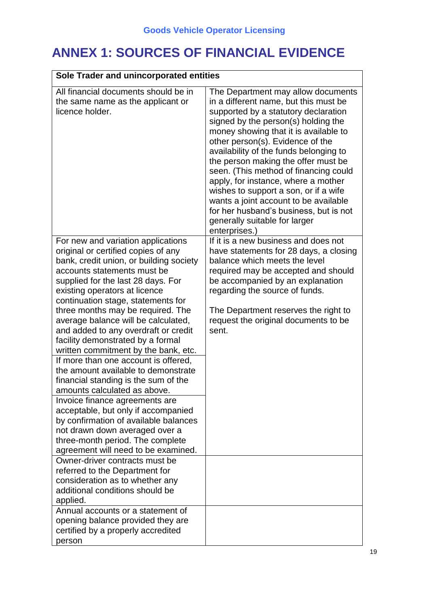## **ANNEX 1: SOURCES OF FINANCIAL EVIDENCE**

| Sole Trader and unincorporated entities                                                                                                                                                                                                                                                                                                                                                                                                                                                                                                                                                                                                                                                                                                                                                                                                                 |                                                                                                                                                                                                                                                                                                                                                                                                                                                                                                                                                                                        |  |
|---------------------------------------------------------------------------------------------------------------------------------------------------------------------------------------------------------------------------------------------------------------------------------------------------------------------------------------------------------------------------------------------------------------------------------------------------------------------------------------------------------------------------------------------------------------------------------------------------------------------------------------------------------------------------------------------------------------------------------------------------------------------------------------------------------------------------------------------------------|----------------------------------------------------------------------------------------------------------------------------------------------------------------------------------------------------------------------------------------------------------------------------------------------------------------------------------------------------------------------------------------------------------------------------------------------------------------------------------------------------------------------------------------------------------------------------------------|--|
| All financial documents should be in<br>the same name as the applicant or<br>licence holder.                                                                                                                                                                                                                                                                                                                                                                                                                                                                                                                                                                                                                                                                                                                                                            | The Department may allow documents<br>in a different name, but this must be<br>supported by a statutory declaration<br>signed by the person(s) holding the<br>money showing that it is available to<br>other person(s). Evidence of the<br>availability of the funds belonging to<br>the person making the offer must be<br>seen. (This method of financing could<br>apply, for instance, where a mother<br>wishes to support a son, or if a wife<br>wants a joint account to be available<br>for her husband's business, but is not<br>generally suitable for larger<br>enterprises.) |  |
| For new and variation applications<br>original or certified copies of any<br>bank, credit union, or building society<br>accounts statements must be<br>supplied for the last 28 days. For<br>existing operators at licence<br>continuation stage, statements for<br>three months may be required. The<br>average balance will be calculated,<br>and added to any overdraft or credit<br>facility demonstrated by a formal<br>written commitment by the bank, etc.<br>If more than one account is offered,<br>the amount available to demonstrate<br>financial standing is the sum of the<br>amounts calculated as above.<br>Invoice finance agreements are<br>acceptable, but only if accompanied<br>by confirmation of available balances<br>not drawn down averaged over a<br>three-month period. The complete<br>agreement will need to be examined. | If it is a new business and does not<br>have statements for 28 days, a closing<br>balance which meets the level<br>required may be accepted and should<br>be accompanied by an explanation<br>regarding the source of funds.<br>The Department reserves the right to<br>request the original documents to be<br>sent.                                                                                                                                                                                                                                                                  |  |
| Owner-driver contracts must be<br>referred to the Department for<br>consideration as to whether any<br>additional conditions should be<br>applied.                                                                                                                                                                                                                                                                                                                                                                                                                                                                                                                                                                                                                                                                                                      |                                                                                                                                                                                                                                                                                                                                                                                                                                                                                                                                                                                        |  |
| Annual accounts or a statement of<br>opening balance provided they are<br>certified by a properly accredited<br>person                                                                                                                                                                                                                                                                                                                                                                                                                                                                                                                                                                                                                                                                                                                                  |                                                                                                                                                                                                                                                                                                                                                                                                                                                                                                                                                                                        |  |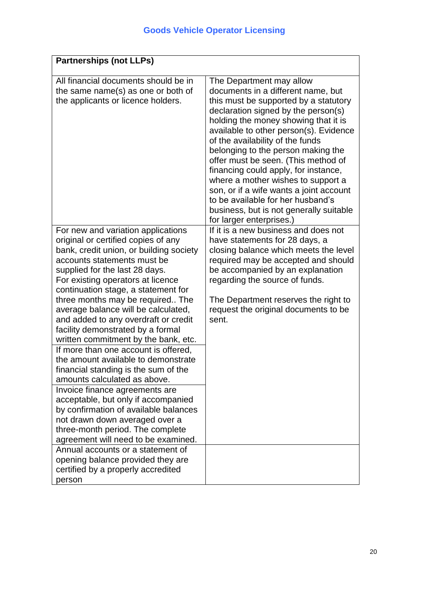| <b>Partnerships (not LLPs)</b>                                                                                                                                                                                                                                                                                                                                                                                                                                                                                                                                                                                                                                                                                                                                                                                                                          |                                                                                                                                                                                                                                                                                                                       |
|---------------------------------------------------------------------------------------------------------------------------------------------------------------------------------------------------------------------------------------------------------------------------------------------------------------------------------------------------------------------------------------------------------------------------------------------------------------------------------------------------------------------------------------------------------------------------------------------------------------------------------------------------------------------------------------------------------------------------------------------------------------------------------------------------------------------------------------------------------|-----------------------------------------------------------------------------------------------------------------------------------------------------------------------------------------------------------------------------------------------------------------------------------------------------------------------|
| All financial documents should be in<br>the same name(s) as one or both of<br>the applicants or licence holders.                                                                                                                                                                                                                                                                                                                                                                                                                                                                                                                                                                                                                                                                                                                                        | The Department may allow<br>documents in a different name, but<br>this must be supported by a statutory<br>declaration signed by the person(s)<br>holding the money showing that it is<br>available to other person(s). Evidence<br>of the availability of the funds                                                  |
|                                                                                                                                                                                                                                                                                                                                                                                                                                                                                                                                                                                                                                                                                                                                                                                                                                                         | belonging to the person making the<br>offer must be seen. (This method of<br>financing could apply, for instance,<br>where a mother wishes to support a<br>son, or if a wife wants a joint account<br>to be available for her husband's<br>business, but is not generally suitable<br>for larger enterprises.)        |
| For new and variation applications<br>original or certified copies of any<br>bank, credit union, or building society<br>accounts statements must be<br>supplied for the last 28 days.<br>For existing operators at licence<br>continuation stage, a statement for<br>three months may be required The<br>average balance will be calculated,<br>and added to any overdraft or credit<br>facility demonstrated by a formal<br>written commitment by the bank, etc.<br>If more than one account is offered,<br>the amount available to demonstrate<br>financial standing is the sum of the<br>amounts calculated as above.<br>Invoice finance agreements are<br>acceptable, but only if accompanied<br>by confirmation of available balances<br>not drawn down averaged over a<br>three-month period. The complete<br>agreement will need to be examined. | If it is a new business and does not<br>have statements for 28 days, a<br>closing balance which meets the level<br>required may be accepted and should<br>be accompanied by an explanation<br>regarding the source of funds.<br>The Department reserves the right to<br>request the original documents to be<br>sent. |
| Annual accounts or a statement of<br>opening balance provided they are<br>certified by a properly accredited<br>person                                                                                                                                                                                                                                                                                                                                                                                                                                                                                                                                                                                                                                                                                                                                  |                                                                                                                                                                                                                                                                                                                       |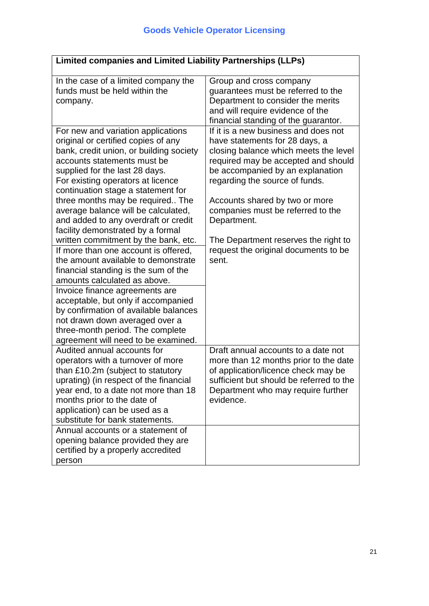| Limited companies and Limited Liability Partnerships (LLPs)                                                                                                                                                                                                                                                                                                                                                                |                                                                                                                                                                                                                        |  |
|----------------------------------------------------------------------------------------------------------------------------------------------------------------------------------------------------------------------------------------------------------------------------------------------------------------------------------------------------------------------------------------------------------------------------|------------------------------------------------------------------------------------------------------------------------------------------------------------------------------------------------------------------------|--|
| In the case of a limited company the<br>funds must be held within the<br>company.<br>For new and variation applications                                                                                                                                                                                                                                                                                                    | Group and cross company<br>guarantees must be referred to the<br>Department to consider the merits<br>and will require evidence of the<br>financial standing of the guarantor.<br>If it is a new business and does not |  |
| original or certified copies of any<br>bank, credit union, or building society<br>accounts statements must be<br>supplied for the last 28 days.<br>For existing operators at licence<br>continuation stage a statement for                                                                                                                                                                                                 | have statements for 28 days, a<br>closing balance which meets the level<br>required may be accepted and should<br>be accompanied by an explanation<br>regarding the source of funds.                                   |  |
| three months may be required The<br>average balance will be calculated,<br>and added to any overdraft or credit<br>facility demonstrated by a formal                                                                                                                                                                                                                                                                       | Accounts shared by two or more<br>companies must be referred to the<br>Department.                                                                                                                                     |  |
| written commitment by the bank, etc.<br>If more than one account is offered,<br>the amount available to demonstrate<br>financial standing is the sum of the<br>amounts calculated as above.<br>Invoice finance agreements are<br>acceptable, but only if accompanied<br>by confirmation of available balances<br>not drawn down averaged over a<br>three-month period. The complete<br>agreement will need to be examined. | The Department reserves the right to<br>request the original documents to be<br>sent.                                                                                                                                  |  |
| Audited annual accounts for<br>operators with a turnover of more<br>than £10.2m (subject to statutory<br>uprating) (in respect of the financial<br>year end, to a date not more than 18<br>months prior to the date of<br>application) can be used as a<br>substitute for bank statements.                                                                                                                                 | Draft annual accounts to a date not<br>more than 12 months prior to the date<br>of application/licence check may be<br>sufficient but should be referred to the<br>Department who may require further<br>evidence.     |  |
| Annual accounts or a statement of<br>opening balance provided they are<br>certified by a properly accredited<br>person                                                                                                                                                                                                                                                                                                     |                                                                                                                                                                                                                        |  |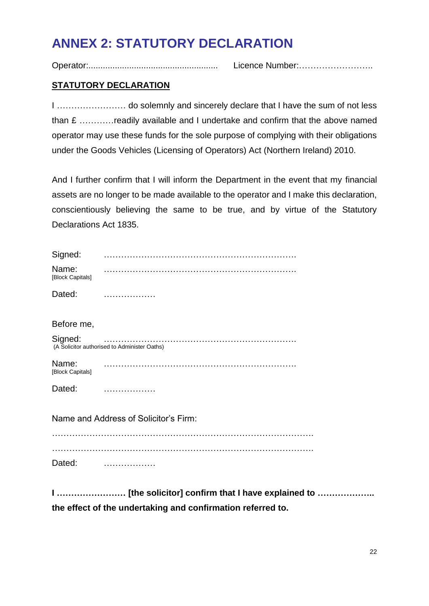## **ANNEX 2: STATUTORY DECLARATION**

Operator:...................................................... Licence Number:……………………..

## **STATUTORY DECLARATION**

I …………………… do solemnly and sincerely declare that I have the sum of not less than £ …………readily available and I undertake and confirm that the above named operator may use these funds for the sole purpose of complying with their obligations under the Goods Vehicles (Licensing of Operators) Act (Northern Ireland) 2010.

And I further confirm that I will inform the Department in the event that my financial assets are no longer to be made available to the operator and I make this declaration, conscientiously believing the same to be true, and by virtue of the Statutory Declarations Act 1835.

| Signed:                   |                                              |
|---------------------------|----------------------------------------------|
| Name:<br>[Block Capitals] |                                              |
| Dated:                    |                                              |
| Before me,                |                                              |
| Signed:                   | (A Solicitor authorised to Administer Oaths) |
| Name:<br>[Block Capitals] |                                              |
| Dated:                    |                                              |
|                           | Name and Address of Solicitor's Firm:        |
|                           |                                              |
| Dated:                    |                                              |

**I …………………… [the solicitor] confirm that I have explained to ……………….. the effect of the undertaking and confirmation referred to.**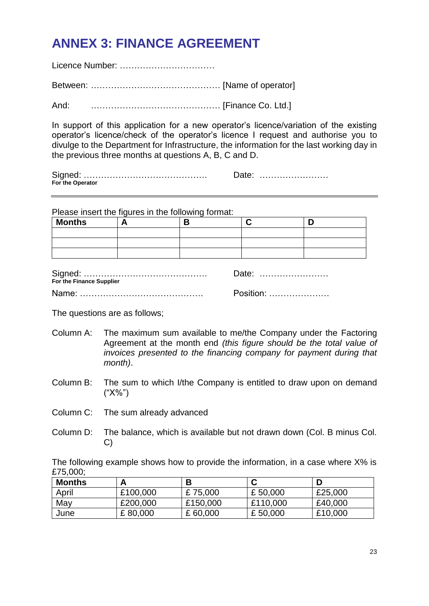## **ANNEX 3: FINANCE AGREEMENT**

Licence Number: …………………………… Between: ……………………………………… [Name of operator]

And: ……………………………………… [Finance Co. Ltd.]

In support of this application for a new operator's licence/variation of the existing operator's licence/check of the operator's licence I request and authorise you to divulge to the Department for Infrastructure, the information for the last working day in the previous three months at questions A, B, C and D.

Signed: ……………………………………. Date: …………………… **For the Operator**

Please insert the figures in the following format:

| Months |  |  |
|--------|--|--|
|        |  |  |
|        |  |  |
|        |  |  |

| For the Finance Supplier | Date:     |
|--------------------------|-----------|
|                          | Position: |

The questions are as follows;

- Column A: The maximum sum available to me/the Company under the Factoring Agreement at the month end *(this figure should be the total value of invoices presented to the financing company for payment during that month)*.
- Column B: The sum to which I/the Company is entitled to draw upon on demand ("X%")
- Column C: The sum already advanced
- Column D: The balance, which is available but not drawn down (Col. B minus Col. C)

The following example shows how to provide the information, in a case where X% is £75,000;

| <b>Months</b> | А        | D        |          |         |
|---------------|----------|----------|----------|---------|
| April         | £100,000 | £75,000  | £50,000  | £25,000 |
| May           | £200,000 | £150,000 | £110,000 | £40,000 |
| June          | £80,000  | £60,000  | £50,000  | £10,000 |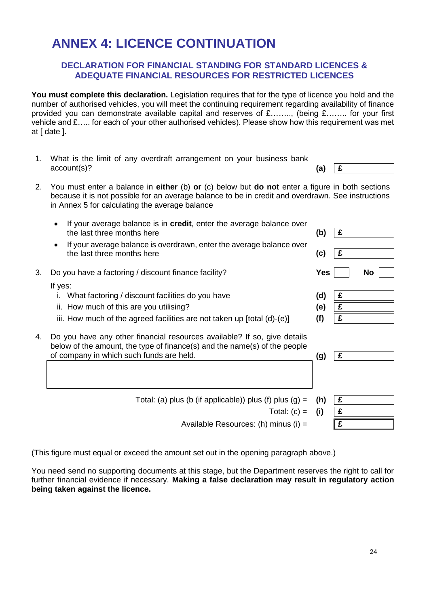## **ANNEX 4: LICENCE CONTINUATION**

### **DECLARATION FOR FINANCIAL STANDING FOR STANDARD LICENCES & ADEQUATE FINANCIAL RESOURCES FOR RESTRICTED LICENCES**

**You must complete this declaration.** Legislation requires that for the type of licence you hold and the number of authorised vehicles, you will meet the continuing requirement regarding availability of finance provided you can demonstrate available capital and reserves of £…….., (being £…….. for your first vehicle and £….. for each of your other authorised vehicles). Please show how this requirement was met at [ date ].

- 1. What is the limit of any overdraft arrangement on your business bank  $\text{account}(s)$ ? **(a)**  $\mathbf{E}$
- 2. You must enter a balance in **either** (b) **or** (c) below but **do not** enter a figure in both sections because it is not possible for an average balance to be in credit and overdrawn. See instructions in Annex 5 for calculating the average balance
	- If your average balance is in credit, enter the average balance over the last three months here **(b) £**
	- If your average balance is overdrawn, enter the average balance over the last three months here **(c) £**
- 3. Do you have a factoring / discount finance facility? **Yes No**

If yes:

- i. What factoring / discount facilities do you have **(d) £**
- ii. How much of this are you utilising? **(e) £**
- iii. How much of the agreed facilities are not taken up [total (d)-(e)]  $(f)$   $\boxed{\mathbf{f}}$
- 4. Do you have any other financial resources available? If so, give details below of the amount, the type of finance(s) and the name(s) of the people of company in which such funds are held. **(g) £**

| Total: (a) plus (b (if applicable)) plus (f) plus (g) = $(h)$ | Ι£ |
|---------------------------------------------------------------|----|
| Total: $(c) = (i)$                                            | £  |
| Available Resources: (h) minus (i) $=$                        | £  |
|                                                               |    |

(This figure must equal or exceed the amount set out in the opening paragraph above.)

You need send no supporting documents at this stage, but the Department reserves the right to call for further financial evidence if necessary. **Making a false declaration may result in regulatory action being taken against the licence.**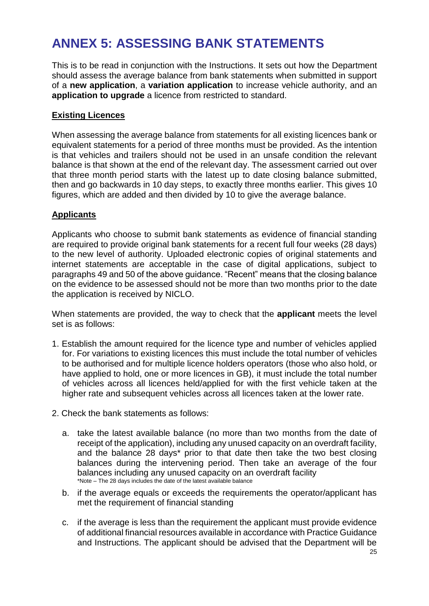## **ANNEX 5: ASSESSING BANK STATEMENTS**

This is to be read in conjunction with the Instructions. It sets out how the Department should assess the average balance from bank statements when submitted in support of a **new application**, a **variation application** to increase vehicle authority, and an **application to upgrade** a licence from restricted to standard.

## **Existing Licences**

When assessing the average balance from statements for all existing licences bank or equivalent statements for a period of three months must be provided. As the intention is that vehicles and trailers should not be used in an unsafe condition the relevant balance is that shown at the end of the relevant day. The assessment carried out over that three month period starts with the latest up to date closing balance submitted, then and go backwards in 10 day steps, to exactly three months earlier. This gives 10 figures, which are added and then divided by 10 to give the average balance.

## **Applicants**

Applicants who choose to submit bank statements as evidence of financial standing are required to provide original bank statements for a recent full four weeks (28 days) to the new level of authority. Uploaded electronic copies of original statements and internet statements are acceptable in the case of digital applications, subject to paragraphs 49 and 50 of the above guidance. "Recent" means that the closing balance on the evidence to be assessed should not be more than two months prior to the date the application is received by NICLO.

When statements are provided, the way to check that the **applicant** meets the level set is as follows:

- 1. Establish the amount required for the licence type and number of vehicles applied for. For variations to existing licences this must include the total number of vehicles to be authorised and for multiple licence holders operators (those who also hold, or have applied to hold, one or more licences in GB), it must include the total number of vehicles across all licences held/applied for with the first vehicle taken at the higher rate and subsequent vehicles across all licences taken at the lower rate.
- 2. Check the bank statements as follows:
	- a. take the latest available balance (no more than two months from the date of receipt of the application), including any unused capacity on an overdraft facility, and the balance 28 days\* prior to that date then take the two best closing balances during the intervening period. Then take an average of the four balances including any unused capacity on an overdraft facility \*Note – The 28 days includes the date of the latest available balance
	- b. if the average equals or exceeds the requirements the operator/applicant has met the requirement of financial standing
	- c. if the average is less than the requirement the applicant must provide evidence of additional financial resources available in accordance with Practice Guidance and Instructions. The applicant should be advised that the Department will be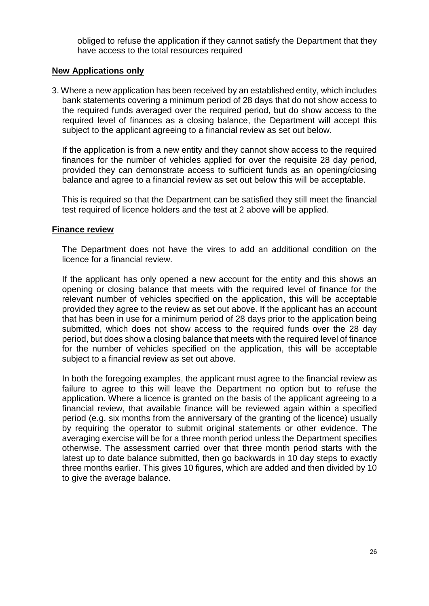obliged to refuse the application if they cannot satisfy the Department that they have access to the total resources required

#### **New Applications only**

3. Where a new application has been received by an established entity, which includes bank statements covering a minimum period of 28 days that do not show access to the required funds averaged over the required period, but do show access to the required level of finances as a closing balance, the Department will accept this subject to the applicant agreeing to a financial review as set out below.

If the application is from a new entity and they cannot show access to the required finances for the number of vehicles applied for over the requisite 28 day period, provided they can demonstrate access to sufficient funds as an opening/closing balance and agree to a financial review as set out below this will be acceptable.

This is required so that the Department can be satisfied they still meet the financial test required of licence holders and the test at 2 above will be applied.

#### **Finance review**

The Department does not have the vires to add an additional condition on the licence for a financial review.

If the applicant has only opened a new account for the entity and this shows an opening or closing balance that meets with the required level of finance for the relevant number of vehicles specified on the application, this will be acceptable provided they agree to the review as set out above. If the applicant has an account that has been in use for a minimum period of 28 days prior to the application being submitted, which does not show access to the required funds over the 28 day period, but does show a closing balance that meets with the required level of finance for the number of vehicles specified on the application, this will be acceptable subject to a financial review as set out above.

In both the foregoing examples, the applicant must agree to the financial review as failure to agree to this will leave the Department no option but to refuse the application. Where a licence is granted on the basis of the applicant agreeing to a financial review, that available finance will be reviewed again within a specified period (e.g. six months from the anniversary of the granting of the licence) usually by requiring the operator to submit original statements or other evidence. The averaging exercise will be for a three month period unless the Department specifies otherwise. The assessment carried over that three month period starts with the latest up to date balance submitted, then go backwards in 10 day steps to exactly three months earlier. This gives 10 figures, which are added and then divided by 10 to give the average balance.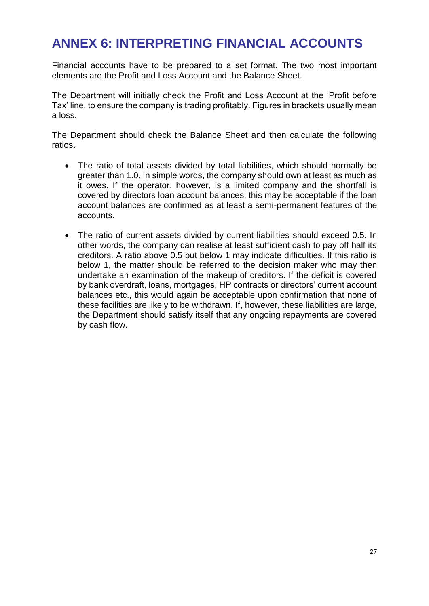## **ANNEX 6: INTERPRETING FINANCIAL ACCOUNTS**

Financial accounts have to be prepared to a set format. The two most important elements are the Profit and Loss Account and the Balance Sheet.

The Department will initially check the Profit and Loss Account at the 'Profit before Tax' line, to ensure the company is trading profitably. Figures in brackets usually mean a loss.

The Department should check the Balance Sheet and then calculate the following ratios**.** 

- The ratio of total assets divided by total liabilities, which should normally be greater than 1.0. In simple words, the company should own at least as much as it owes. If the operator, however, is a limited company and the shortfall is covered by directors loan account balances, this may be acceptable if the loan account balances are confirmed as at least a semi-permanent features of the accounts.
- The ratio of current assets divided by current liabilities should exceed 0.5. In other words, the company can realise at least sufficient cash to pay off half its creditors. A ratio above 0.5 but below 1 may indicate difficulties. If this ratio is below 1, the matter should be referred to the decision maker who may then undertake an examination of the makeup of creditors. If the deficit is covered by bank overdraft, loans, mortgages, HP contracts or directors' current account balances etc., this would again be acceptable upon confirmation that none of these facilities are likely to be withdrawn. If, however, these liabilities are large, the Department should satisfy itself that any ongoing repayments are covered by cash flow.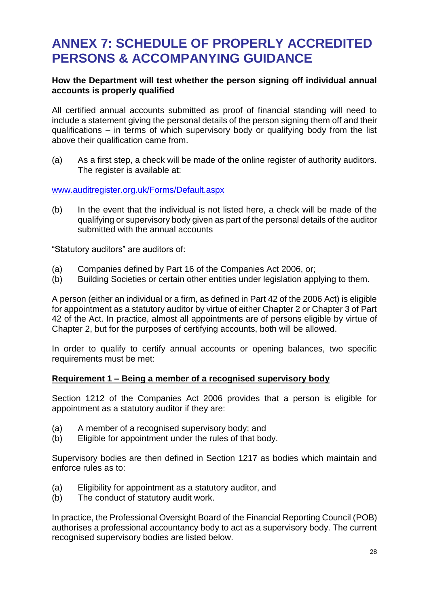## **ANNEX 7: SCHEDULE OF PROPERLY ACCREDITED PERSONS & ACCOMPANYING GUIDANCE**

## **How the Department will test whether the person signing off individual annual accounts is properly qualified**

All certified annual accounts submitted as proof of financial standing will need to include a statement giving the personal details of the person signing them off and their qualifications – in terms of which supervisory body or qualifying body from the list above their qualification came from.

(a) As a first step, a check will be made of the online register of authority auditors. The register is available at:

[www.auditregister.org.uk/Forms/Default.aspx](http://www.auditregister.org.uk/Forms/Default.aspx)

(b) In the event that the individual is not listed here, a check will be made of the qualifying or supervisory body given as part of the personal details of the auditor submitted with the annual accounts

"Statutory auditors" are auditors of:

- (a) Companies defined by Part 16 of the Companies Act 2006, or;
- (b) Building Societies or certain other entities under legislation applying to them.

A person (either an individual or a firm, as defined in Part 42 of the 2006 Act) is eligible for appointment as a statutory auditor by virtue of either Chapter 2 or Chapter 3 of Part 42 of the Act. In practice, almost all appointments are of persons eligible by virtue of Chapter 2, but for the purposes of certifying accounts, both will be allowed.

In order to qualify to certify annual accounts or opening balances, two specific requirements must be met:

## **Requirement 1 – Being a member of a recognised supervisory body**

Section 1212 of the Companies Act 2006 provides that a person is eligible for appointment as a statutory auditor if they are:

- (a) A member of a recognised supervisory body; and
- (b) Eligible for appointment under the rules of that body.

Supervisory bodies are then defined in Section 1217 as bodies which maintain and enforce rules as to:

- (a) Eligibility for appointment as a statutory auditor, and
- (b) The conduct of statutory audit work.

In practice, the Professional Oversight Board of the Financial Reporting Council (POB) authorises a professional accountancy body to act as a supervisory body. The current recognised supervisory bodies are listed below.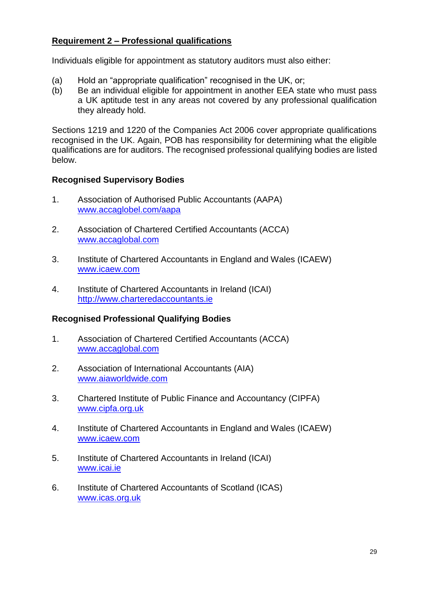## **Requirement 2 – Professional qualifications**

Individuals eligible for appointment as statutory auditors must also either:

- (a) Hold an "appropriate qualification" recognised in the UK, or;
- (b) Be an individual eligible for appointment in another EEA state who must pass a UK aptitude test in any areas not covered by any professional qualification they already hold.

Sections 1219 and 1220 of the Companies Act 2006 cover appropriate qualifications recognised in the UK. Again, POB has responsibility for determining what the eligible qualifications are for auditors. The recognised professional qualifying bodies are listed below.

## **Recognised Supervisory Bodies**

- 1. Association of Authorised Public Accountants (AAPA) [www.accaglobel.com/aapa](http://www.accaglobel.com/aapa)
- 2. Association of Chartered Certified Accountants (ACCA) [www.accaglobal.com](http://www.accaglobal.com/)
- 3. Institute of Chartered Accountants in England and Wales (ICAEW) [www.icaew.com](http://www.icaew.com/)
- 4. Institute of Chartered Accountants in Ireland (ICAI) [http://www.charteredaccountants.ie](http://www.charteredaccountants.ie/)

## **Recognised Professional Qualifying Bodies**

- 1. Association of Chartered Certified Accountants (ACCA) [www.accaglobal.com](http://www.accaglobal.com/)
- 2. Association of International Accountants (AIA) [www.aiaworldwide.com](http://www.aiaworldwide.com/)
- 3. Chartered Institute of Public Finance and Accountancy (CIPFA) [www.cipfa.org.uk](http://www.cipfa.org.uk/)
- 4. Institute of Chartered Accountants in England and Wales (ICAEW) [www.icaew.com](http://www.icaew.com/)
- 5. Institute of Chartered Accountants in Ireland (ICAI) [www.icai.ie](http://www.icai.ie/)
- 6. Institute of Chartered Accountants of Scotland (ICAS) [www.icas.org.uk](http://www.icas.org.uk/)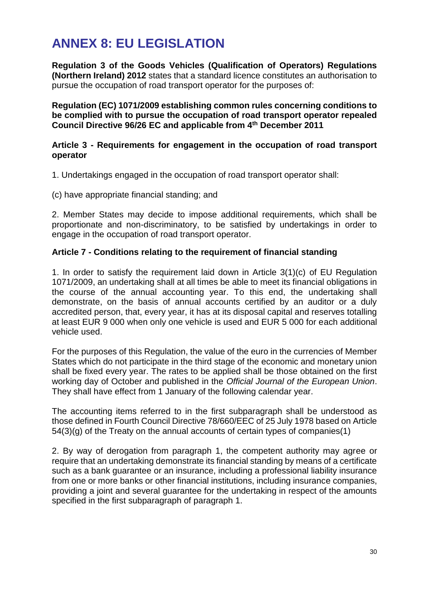## **ANNEX 8: EU LEGISLATION**

**Regulation 3 of the Goods Vehicles (Qualification of Operators) Regulations (Northern Ireland) 2012** states that a standard licence constitutes an authorisation to pursue the occupation of road transport operator for the purposes of:

**Regulation (EC) 1071/2009 establishing common rules concerning conditions to be complied with to pursue the occupation of road transport operator repealed Council Directive 96/26 EC and applicable from 4th December 2011**

## **Article 3 - Requirements for engagement in the occupation of road transport operator**

1. Undertakings engaged in the occupation of road transport operator shall:

(c) have appropriate financial standing; and

2. Member States may decide to impose additional requirements, which shall be proportionate and non-discriminatory, to be satisfied by undertakings in order to engage in the occupation of road transport operator.

## **Article 7 - Conditions relating to the requirement of financial standing**

1. In order to satisfy the requirement laid down in Article 3(1)(c) of EU Regulation 1071/2009, an undertaking shall at all times be able to meet its financial obligations in the course of the annual accounting year. To this end, the undertaking shall demonstrate, on the basis of annual accounts certified by an auditor or a duly accredited person, that, every year, it has at its disposal capital and reserves totalling at least EUR 9 000 when only one vehicle is used and EUR 5 000 for each additional vehicle used.

For the purposes of this Regulation, the value of the euro in the currencies of Member States which do not participate in the third stage of the economic and monetary union shall be fixed every year. The rates to be applied shall be those obtained on the first working day of October and published in the *Official Journal of the European Union*. They shall have effect from 1 January of the following calendar year.

The accounting items referred to in the first subparagraph shall be understood as those defined in Fourth Council Directive 78/660/EEC of 25 July 1978 based on Article 54(3)(g) of the Treaty on the annual accounts of certain types of companies(1)

2. By way of derogation from paragraph 1, the competent authority may agree or require that an undertaking demonstrate its financial standing by means of a certificate such as a bank guarantee or an insurance, including a professional liability insurance from one or more banks or other financial institutions, including insurance companies, providing a joint and several guarantee for the undertaking in respect of the amounts specified in the first subparagraph of paragraph 1.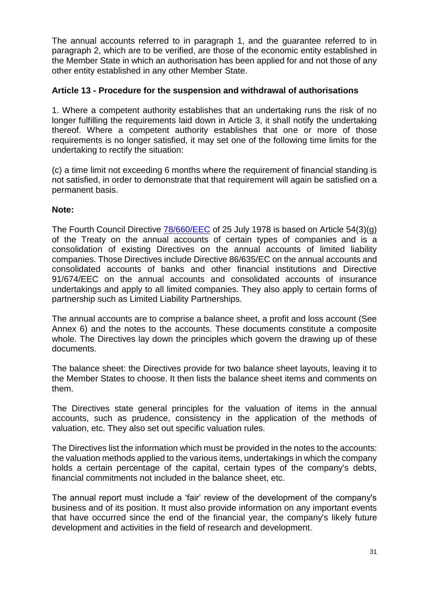The annual accounts referred to in paragraph 1, and the guarantee referred to in paragraph 2, which are to be verified, are those of the economic entity established in the Member State in which an authorisation has been applied for and not those of any other entity established in any other Member State.

## **Article 13 - Procedure for the suspension and withdrawal of authorisations**

1. Where a competent authority establishes that an undertaking runs the risk of no longer fulfilling the requirements laid down in Article 3, it shall notify the undertaking thereof. Where a competent authority establishes that one or more of those requirements is no longer satisfied, it may set one of the following time limits for the undertaking to rectify the situation:

(c) a time limit not exceeding 6 months where the requirement of financial standing is not satisfied, in order to demonstrate that that requirement will again be satisfied on a permanent basis.

## **Note:**

The Fourth Council Directive [78/660/EEC](http://eur-lex.europa.eu/LexUriServ/LexUriServ.do?uri=CELEX:31978L0660:EN:NOT) of 25 July 1978 is based on Article 54(3)(g) of the Treaty on the annual accounts of certain types of companies and is a consolidation of existing Directives on the annual accounts of limited liability companies. Those Directives include Directive 86/635/EC on the annual accounts and consolidated accounts of banks and other financial institutions and Directive 91/674/EEC on the annual accounts and consolidated accounts of insurance undertakings and apply to all limited companies. They also apply to certain forms of partnership such as Limited Liability Partnerships.

The annual accounts are to comprise a balance sheet, a profit and loss account (See Annex 6) and the notes to the accounts. These documents constitute a composite whole. The Directives lay down the principles which govern the drawing up of these documents.

The balance sheet: the Directives provide for two balance sheet layouts, leaving it to the Member States to choose. It then lists the balance sheet items and comments on them.

The Directives state general principles for the valuation of items in the annual accounts, such as prudence, consistency in the application of the methods of valuation, etc. They also set out specific valuation rules.

The Directives list the information which must be provided in the notes to the accounts: the valuation methods applied to the various items, undertakings in which the company holds a certain percentage of the capital, certain types of the company's debts, financial commitments not included in the balance sheet, etc.

The annual report must include a 'fair' review of the development of the company's business and of its position. It must also provide information on any important events that have occurred since the end of the financial year, the company's likely future development and activities in the field of research and development.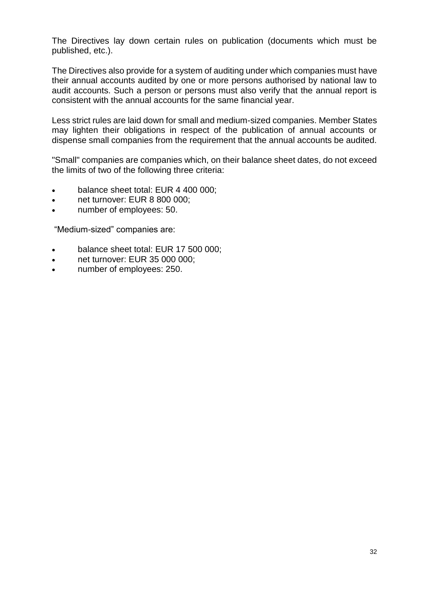The Directives lay down certain rules on publication (documents which must be published, etc.).

The Directives also provide for a system of auditing under which companies must have their annual accounts audited by one or more persons authorised by national law to audit accounts. Such a person or persons must also verify that the annual report is consistent with the annual accounts for the same financial year.

Less strict rules are laid down for small and medium-sized companies. Member States may lighten their obligations in respect of the publication of annual accounts or dispense small companies from the requirement that the annual accounts be audited.

"Small" companies are companies which, on their balance sheet dates, do not exceed the limits of two of the following three criteria:

- balance sheet total: EUR 4 400 000;
- net turnover: EUR 8 800 000;
- number of employees: 50.

"Medium-sized" companies are:

- balance sheet total: EUR 17 500 000;
- net turnover: EUR 35 000 000;
- number of employees: 250.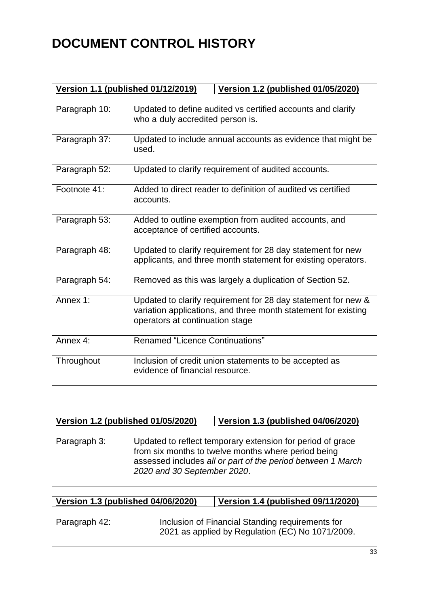# **DOCUMENT CONTROL HISTORY**

| Version 1.1 (published 01/12/2019) | Version 1.2 (published 01/05/2020)                                                                                                                                 |
|------------------------------------|--------------------------------------------------------------------------------------------------------------------------------------------------------------------|
| Paragraph 10:                      | Updated to define audited vs certified accounts and clarify<br>who a duly accredited person is.                                                                    |
| Paragraph 37:                      | Updated to include annual accounts as evidence that might be<br>used.                                                                                              |
| Paragraph 52:                      | Updated to clarify requirement of audited accounts.                                                                                                                |
| Footnote 41:                       | Added to direct reader to definition of audited vs certified<br>accounts.                                                                                          |
| Paragraph 53:                      | Added to outline exemption from audited accounts, and<br>acceptance of certified accounts.                                                                         |
| Paragraph 48:                      | Updated to clarify requirement for 28 day statement for new<br>applicants, and three month statement for existing operators.                                       |
| Paragraph 54:                      | Removed as this was largely a duplication of Section 52.                                                                                                           |
| Annex 1:                           | Updated to clarify requirement for 28 day statement for new &<br>variation applications, and three month statement for existing<br>operators at continuation stage |
| Annex 4:                           | <b>Renamed "Licence Continuations"</b>                                                                                                                             |
| Throughout                         | Inclusion of credit union statements to be accepted as<br>evidence of financial resource.                                                                          |

| Version 1.2 (published 01/05/2020) |                             | Version 1.3 (published 04/06/2020)                                                                                                                                               |
|------------------------------------|-----------------------------|----------------------------------------------------------------------------------------------------------------------------------------------------------------------------------|
| Paragraph 3:                       | 2020 and 30 September 2020. | Updated to reflect temporary extension for period of grace<br>from six months to twelve months where period being<br>assessed includes all or part of the period between 1 March |

## **Version 1.3 (published 04/06/2020) Version 1.4 (published 09/11/2020)**

| Paragraph 42: | Inclusion of Financial Standing requirements for |
|---------------|--------------------------------------------------|
|               | 2021 as applied by Regulation (EC) No 1071/2009. |